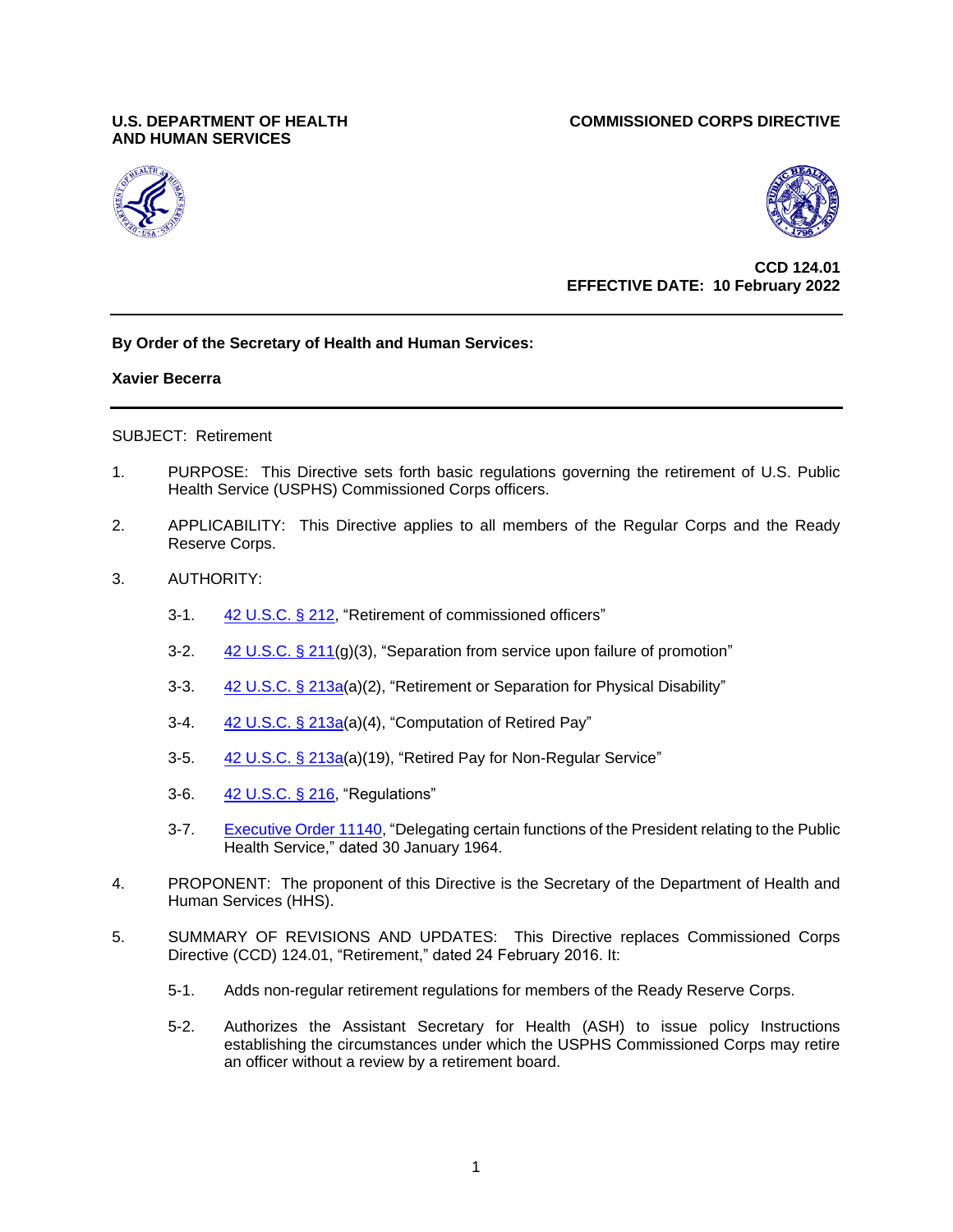# **AND HUMAN SERVICES**

## **U.S. DEPARTMENT OF HEALTH COMMISSIONED CORPS DIRECTIVE**





## **CCD 124.01 EFFECTIVE DATE: 10 February 2022**

# **By Order of the Secretary of Health and Human Services:**

### **Xavier Becerra**

### SUBJECT: Retirement

- 1. PURPOSE: This Directive sets forth basic regulations governing the retirement of U.S. Public Health Service (USPHS) Commissioned Corps officers.
- 2. APPLICABILITY: This Directive applies to all members of the Regular Corps and the Ready Reserve Corps.
- 3. AUTHORITY:
	- 3-1. [42 U.S.C.](https://uscode.house.gov/view.xhtml?req=(title:42%20section:212%20edition:prelim)%20OR%20(granuleid:USC-prelim-title42-section212)&f=treesort&edition=prelim&num=0&jumpTo=true) § 212, "Retirement of commissioned officers"
	- 3-2.  $42 \text{ U.S.C.}$  § 211(g)(3), "Separation from service upon failure of promotion"
	- 3-3. [42 U.S.C.](https://uscode.house.gov/view.xhtml?req=(title:42%20section:213a%20edition:prelim)%20OR%20(granuleid:USC-prelim-title42-section213a)&f=treesort&edition=prelim&num=0&jumpTo=true) § 213a(a)(2), "Retirement or Separation for Physical Disability"
	- 3-4. [42 U.S.C. § 213a\(](https://uscode.house.gov/view.xhtml?req=(title:42%20section:213a%20edition:prelim)%20OR%20(granuleid:USC-prelim-title42-section213a)&f=treesort&edition=prelim&num=0&jumpTo=true)a)(4), "Computation of Retired Pay"
	- 3-5. [42 U.S.C. §](https://uscode.house.gov/view.xhtml?req=(title:42%20section:213a%20edition:prelim)%20OR%20(granuleid:USC-prelim-title42-section213a)&f=treesort&edition=prelim&num=0&jumpTo=true) 213a(a)(19), "Retired Pay for Non-Regular Service"
	- 3-6. [42 U.S.C. § 216,](https://uscode.house.gov/view.xhtml?req=(title:42%20section:216%20edition:prelim)%20OR%20(granuleid:USC-prelim-title42-section216)&f=treesort&edition=prelim&num=0&jumpTo=true) "Regulations"
	- 3-7. [Executive Order 11140,](http://www.archives.gov/federal-register/codification/executive-order/11140.html) "Delegating certain functions of the President relating to the Public Health Service," dated 30 January 1964.
- 4. PROPONENT: The proponent of this Directive is the Secretary of the Department of Health and Human Services (HHS).
- 5. SUMMARY OF REVISIONS AND UPDATES: This Directive replaces Commissioned Corps Directive (CCD) 124.01, "Retirement," dated 24 February 2016. It:
	- 5-1. Adds non-regular retirement regulations for members of the Ready Reserve Corps.
	- 5-2. Authorizes the Assistant Secretary for Health (ASH) to issue policy Instructions establishing the circumstances under which the USPHS Commissioned Corps may retire an officer without a review by a retirement board.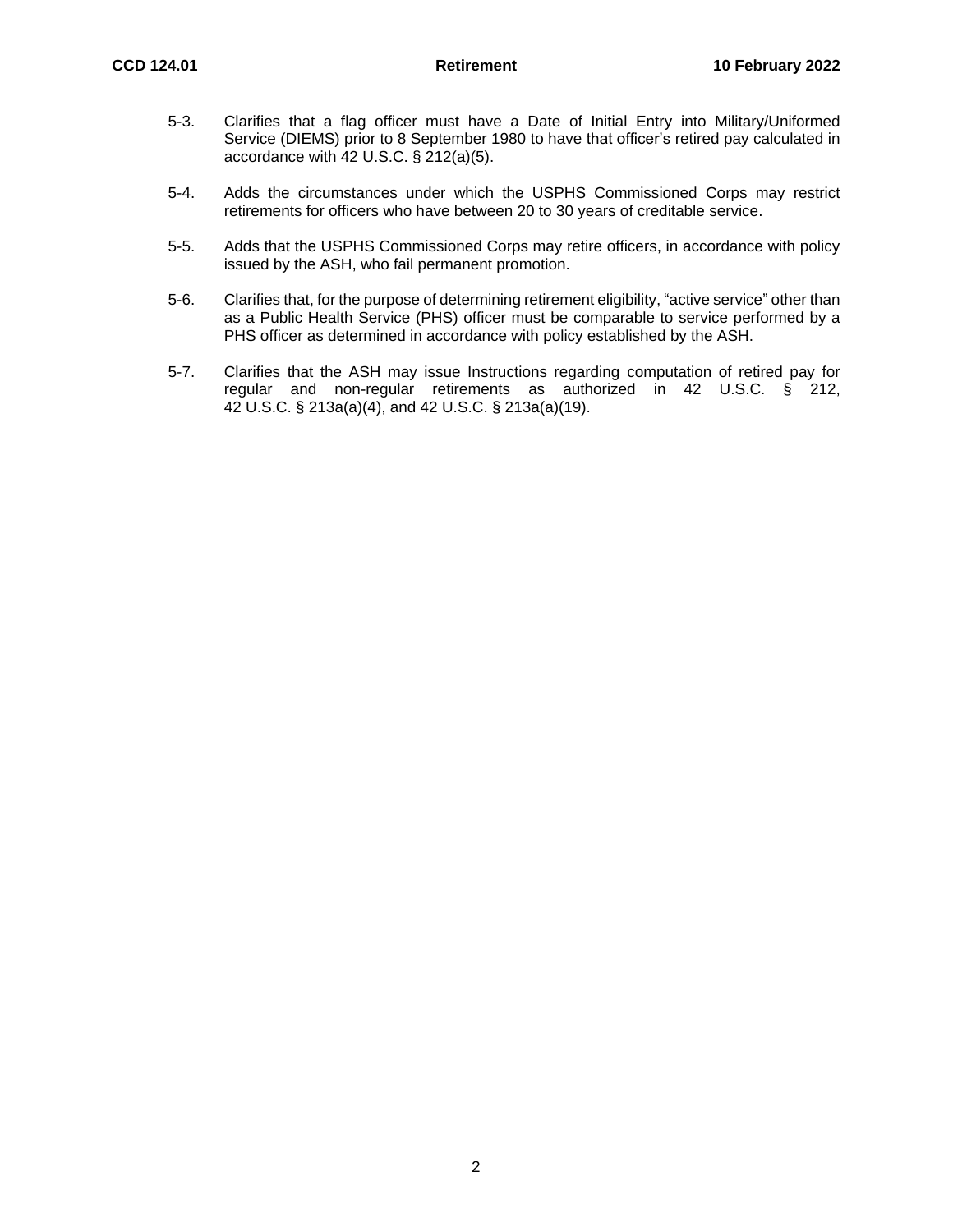- 5-3. Clarifies that a flag officer must have a Date of Initial Entry into Military/Uniformed Service (DIEMS) prior to 8 September 1980 to have that officer's retired pay calculated in accordance with 42 U.S.C. § 212(a)(5).
- 5-4. Adds the circumstances under which the USPHS Commissioned Corps may restrict retirements for officers who have between 20 to 30 years of creditable service.
- 5-5. Adds that the USPHS Commissioned Corps may retire officers, in accordance with policy issued by the ASH, who fail permanent promotion.
- 5-6. Clarifies that, for the purpose of determining retirement eligibility, "active service" other than as a Public Health Service (PHS) officer must be comparable to service performed by a PHS officer as determined in accordance with policy established by the ASH.
- 5-7. Clarifies that the ASH may issue Instructions regarding computation of retired pay for regular and non-regular retirements as authorized in 42 U.S.C. § 212, 42 U.S.C. § 213a(a)(4), and 42 U.S.C. § 213a(a)(19).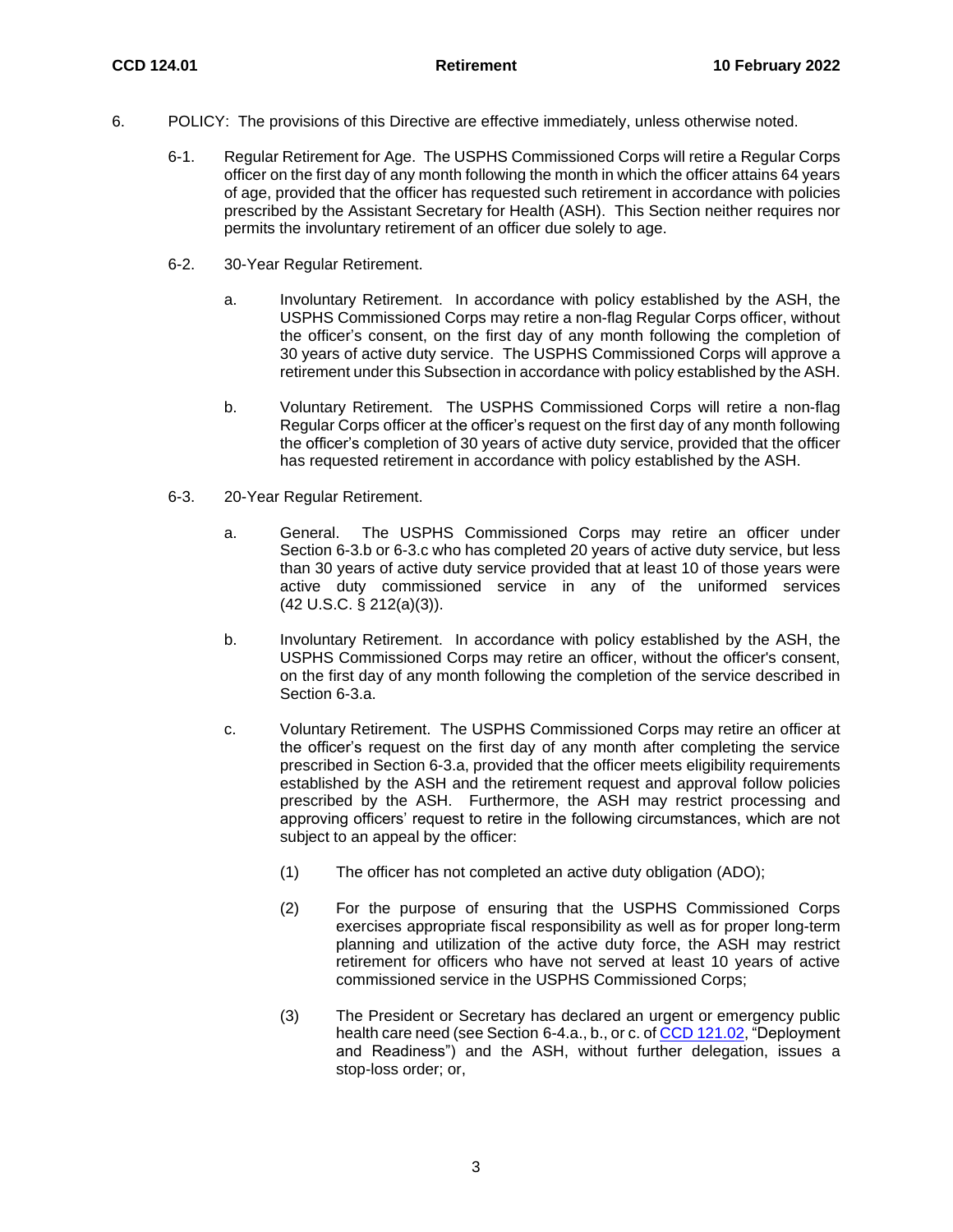- 6. POLICY: The provisions of this Directive are effective immediately, unless otherwise noted.
	- 6-1. Regular Retirement for Age. The USPHS Commissioned Corps will retire a Regular Corps officer on the first day of any month following the month in which the officer attains 64 years of age, provided that the officer has requested such retirement in accordance with policies prescribed by the Assistant Secretary for Health (ASH). This Section neither requires nor permits the involuntary retirement of an officer due solely to age.
	- 6-2. 30-Year Regular Retirement.
		- a. Involuntary Retirement. In accordance with policy established by the ASH, the USPHS Commissioned Corps may retire a non-flag Regular Corps officer, without the officer's consent, on the first day of any month following the completion of 30 years of active duty service. The USPHS Commissioned Corps will approve a retirement under this Subsection in accordance with policy established by the ASH.
		- b. Voluntary Retirement. The USPHS Commissioned Corps will retire a non-flag Regular Corps officer at the officer's request on the first day of any month following the officer's completion of 30 years of active duty service, provided that the officer has requested retirement in accordance with policy established by the ASH.
	- 6-3. 20-Year Regular Retirement.
		- a. General. The USPHS Commissioned Corps may retire an officer under Section 6-3.b or 6-3.c who has completed 20 years of active duty service, but less than 30 years of active duty service provided that at least 10 of those years were active duty commissioned service in any of the uniformed services (42 U.S.C. § 212(a)(3)).
		- b. Involuntary Retirement. In accordance with policy established by the ASH, the USPHS Commissioned Corps may retire an officer, without the officer's consent, on the first day of any month following the completion of the service described in Section 6-3.a.
		- c. Voluntary Retirement. The USPHS Commissioned Corps may retire an officer at the officer's request on the first day of any month after completing the service prescribed in Section 6-3.a, provided that the officer meets eligibility requirements established by the ASH and the retirement request and approval follow policies prescribed by the ASH. Furthermore, the ASH may restrict processing and approving officers' request to retire in the following circumstances, which are not subject to an appeal by the officer:
			- (1) The officer has not completed an active duty obligation (ADO);
			- (2) For the purpose of ensuring that the USPHS Commissioned Corps exercises appropriate fiscal responsibility as well as for proper long-term planning and utilization of the active duty force, the ASH may restrict retirement for officers who have not served at least 10 years of active commissioned service in the USPHS Commissioned Corps;
			- (3) The President or Secretary has declared an urgent or emergency public health care need (see Section 6-4.a., b., or c. of [CCD 121.02,](https://dcp.psc.gov/ccmis/ccis/documents/CCD_121.02.pdf) "Deployment and Readiness") and the ASH, without further delegation, issues a stop-loss order; or,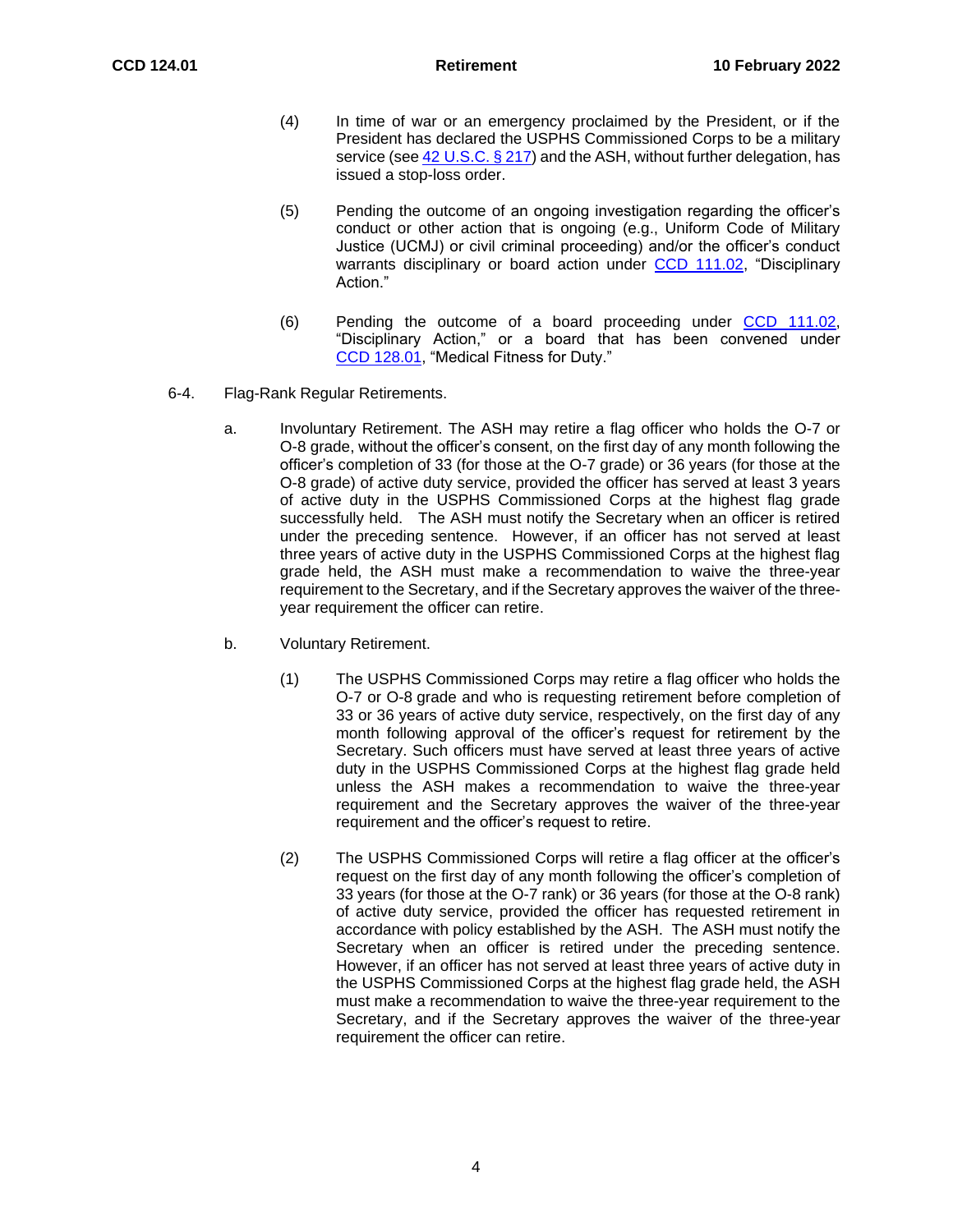- (4) In time of war or an emergency proclaimed by the President, or if the President has declared the USPHS Commissioned Corps to be a military service (see  $42$  [U.S.C. § 217\)](https://dcp.psc.gov/ccmis/ccis/CCISToc.aspx?ShowTOC=Yhttps://uscode.house.gov/view.xhtml?req=(title:42%20section:217%20edition:prelim)%20OR%20(granuleid:USC-prelim-title42-section217)&f=treesort&edition=prelim&num=0&jumpTo=true) and the ASH, without further delegation, has issued a stop-loss order.
- (5) Pending the outcome of an ongoing investigation regarding the officer's conduct or other action that is ongoing (e.g., Uniform Code of Military Justice (UCMJ) or civil criminal proceeding) and/or the officer's conduct warrants disciplinary or board action under [CCD 111.02,](https://dcp.psc.gov/ccmis/ccis/documents/CCD111_02.pdf) "Disciplinary Action."
- (6) Pending the outcome of a board proceeding under [CCD 111.02,](https://dcp.psc.gov/ccmis/ccis/documents/CCD111_02.pdf) "Disciplinary Action," or a board that has been convened under CCD [128.01,](https://dcp.psc.gov/ccmis/ccis/documents/CCD_128.01.pdf) "Medical Fitness for Duty."
- 6-4. Flag-Rank Regular Retirements.
	- a. Involuntary Retirement. The ASH may retire a flag officer who holds the O-7 or O-8 grade, without the officer's consent, on the first day of any month following the officer's completion of 33 (for those at the O-7 grade) or 36 years (for those at the O-8 grade) of active duty service, provided the officer has served at least 3 years of active duty in the USPHS Commissioned Corps at the highest flag grade successfully held. The ASH must notify the Secretary when an officer is retired under the preceding sentence. However, if an officer has not served at least three years of active duty in the USPHS Commissioned Corps at the highest flag grade held, the ASH must make a recommendation to waive the three-year requirement to the Secretary, and if the Secretary approves the waiver of the threeyear requirement the officer can retire.
	- b. Voluntary Retirement.
		- (1) The USPHS Commissioned Corps may retire a flag officer who holds the O-7 or O-8 grade and who is requesting retirement before completion of 33 or 36 years of active duty service, respectively, on the first day of any month following approval of the officer's request for retirement by the Secretary. Such officers must have served at least three years of active duty in the USPHS Commissioned Corps at the highest flag grade held unless the ASH makes a recommendation to waive the three-year requirement and the Secretary approves the waiver of the three-year requirement and the officer's request to retire.
		- (2) The USPHS Commissioned Corps will retire a flag officer at the officer's request on the first day of any month following the officer's completion of 33 years (for those at the O-7 rank) or 36 years (for those at the O-8 rank) of active duty service, provided the officer has requested retirement in accordance with policy established by the ASH. The ASH must notify the Secretary when an officer is retired under the preceding sentence. However, if an officer has not served at least three years of active duty in the USPHS Commissioned Corps at the highest flag grade held, the ASH must make a recommendation to waive the three-year requirement to the Secretary, and if the Secretary approves the waiver of the three-year requirement the officer can retire.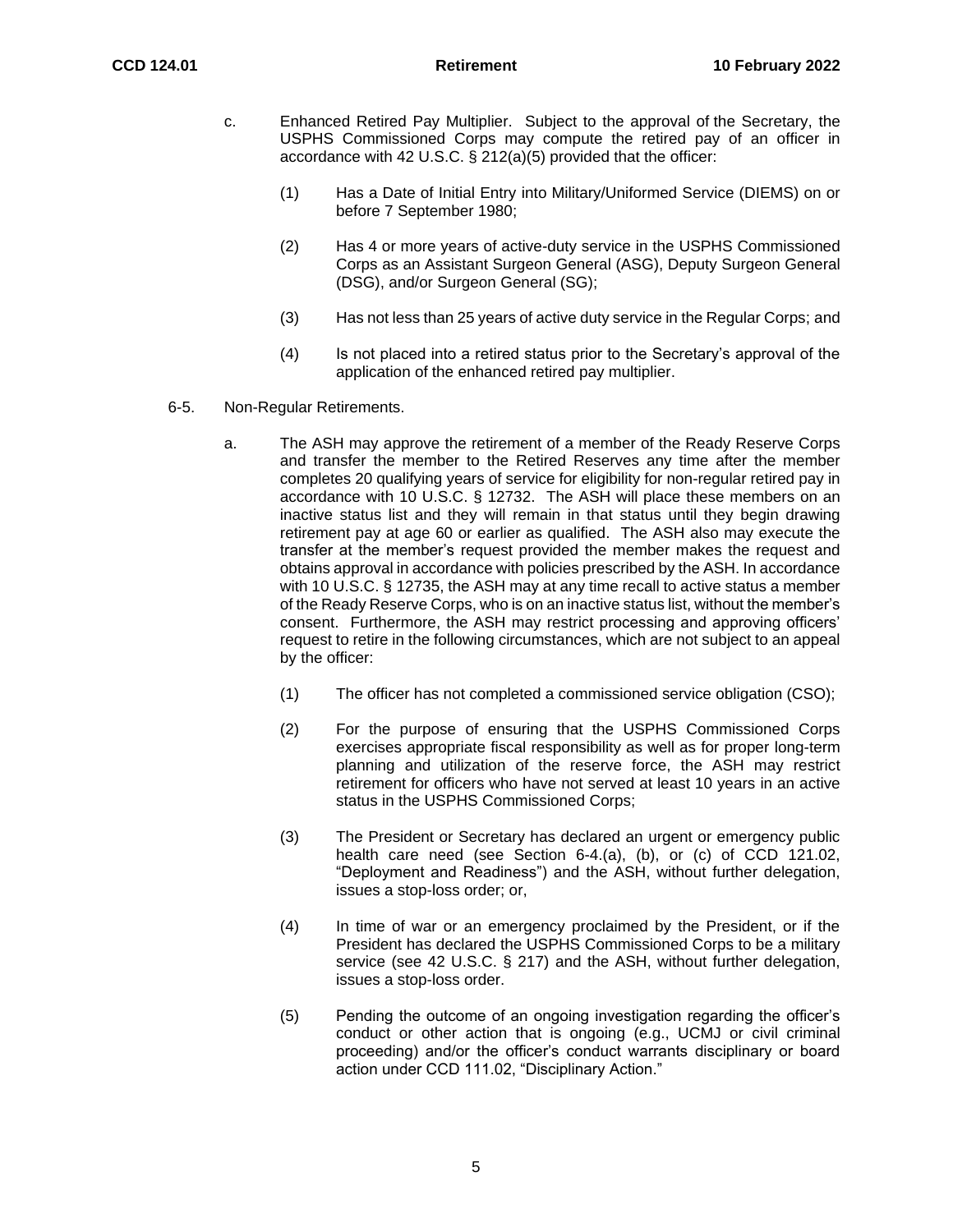- c. Enhanced Retired Pay Multiplier. Subject to the approval of the Secretary, the USPHS Commissioned Corps may compute the retired pay of an officer in accordance with 42 U.S.C. § 212(a)(5) provided that the officer:
	- (1) Has a Date of Initial Entry into Military/Uniformed Service (DIEMS) on or before 7 September 1980;
	- (2) Has 4 or more years of active-duty service in the USPHS Commissioned Corps as an Assistant Surgeon General (ASG), Deputy Surgeon General (DSG), and/or Surgeon General (SG);
	- (3) Has not less than 25 years of active duty service in the Regular Corps; and
	- (4) Is not placed into a retired status prior to the Secretary's approval of the application of the enhanced retired pay multiplier.
- 6-5. Non-Regular Retirements.
	- a. The ASH may approve the retirement of a member of the Ready Reserve Corps and transfer the member to the Retired Reserves any time after the member completes 20 qualifying years of service for eligibility for non-regular retired pay in accordance with 10 U.S.C. § 12732. The ASH will place these members on an inactive status list and they will remain in that status until they begin drawing retirement pay at age 60 or earlier as qualified. The ASH also may execute the transfer at the member's request provided the member makes the request and obtains approval in accordance with policies prescribed by the ASH. In accordance with 10 U.S.C. § 12735, the ASH may at any time recall to active status a member of the Ready Reserve Corps, who is on an inactive status list, without the member's consent. Furthermore, the ASH may restrict processing and approving officers' request to retire in the following circumstances, which are not subject to an appeal by the officer:
		- (1) The officer has not completed a commissioned service obligation (CSO);
		- (2) For the purpose of ensuring that the USPHS Commissioned Corps exercises appropriate fiscal responsibility as well as for proper long-term planning and utilization of the reserve force, the ASH may restrict retirement for officers who have not served at least 10 years in an active status in the USPHS Commissioned Corps;
		- (3) The President or Secretary has declared an urgent or emergency public health care need (see Section 6-4.(a), (b), or (c) of CCD 121.02, "Deployment and Readiness") and the ASH, without further delegation, issues a stop-loss order; or,
		- (4) In time of war or an emergency proclaimed by the President, or if the President has declared the USPHS Commissioned Corps to be a military service (see 42 U.S.C. § 217) and the ASH, without further delegation, issues a stop-loss order.
		- (5) Pending the outcome of an ongoing investigation regarding the officer's conduct or other action that is ongoing (e.g., UCMJ or civil criminal proceeding) and/or the officer's conduct warrants disciplinary or board action under CCD 111.02, "Disciplinary Action."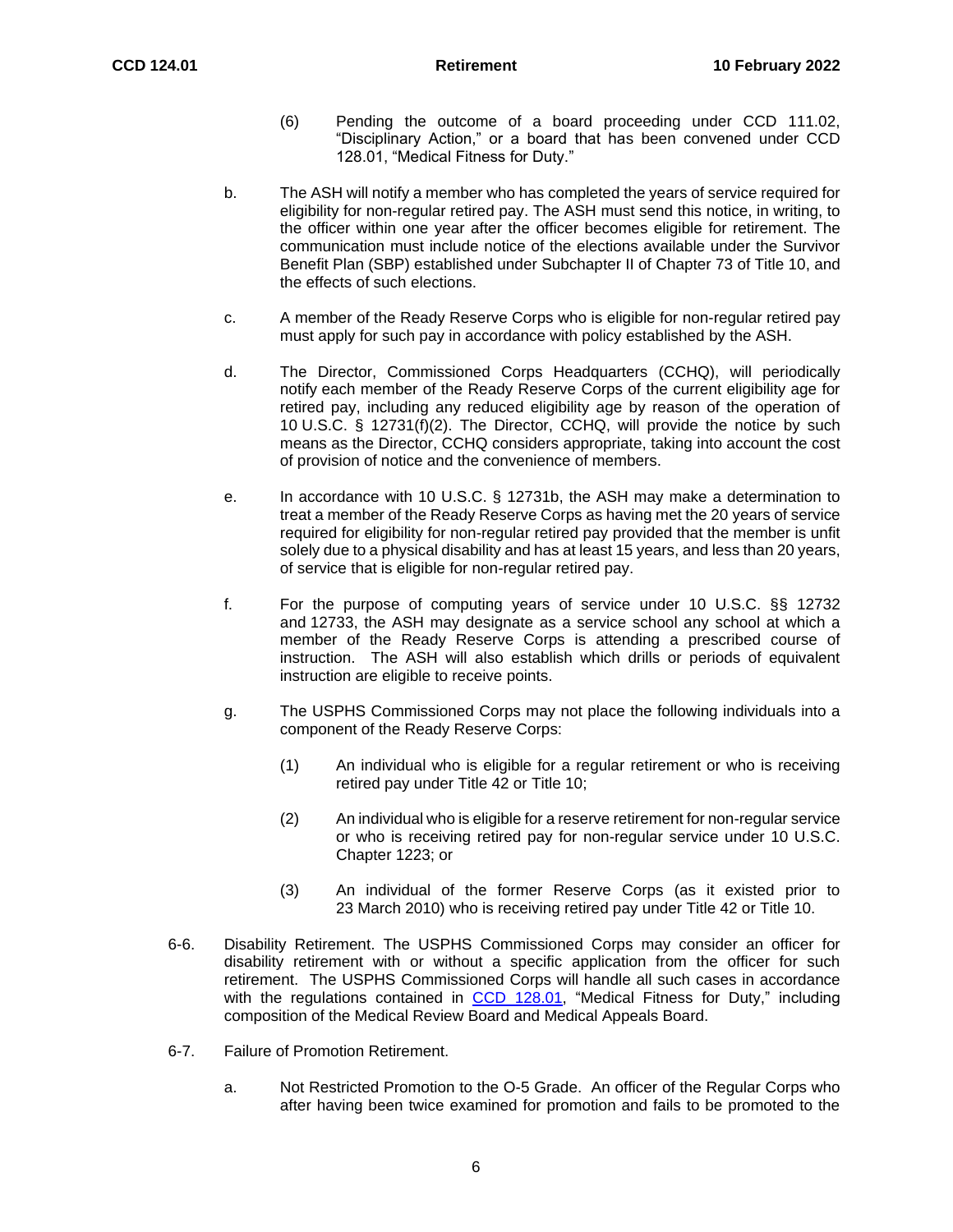- (6) Pending the outcome of a board proceeding under CCD 111.02, "Disciplinary Action," or a board that has been convened under CCD 128.01, "Medical Fitness for Duty."
- b. The ASH will notify a member who has completed the years of service required for eligibility for non-regular retired pay. The ASH must send this notice, in writing, to the officer within one year after the officer becomes eligible for retirement. The communication must include notice of the elections available under the Survivor Benefit Plan (SBP) established under Subchapter II of Chapter 73 of Title 10, and the effects of such elections.
- c. A member of the Ready Reserve Corps who is eligible for non-regular retired pay must apply for such pay in accordance with policy established by the ASH.
- d. The Director, Commissioned Corps Headquarters (CCHQ), will periodically notify each member of the Ready Reserve Corps of the current eligibility age for retired pay, including any reduced eligibility age by reason of the operation of 10 U.S.C. § 12731(f)(2). The Director, CCHQ, will provide the notice by such means as the Director, CCHQ considers appropriate, taking into account the cost of provision of notice and the convenience of members.
- e. In accordance with 10 U.S.C. § 12731b, the ASH may make a determination to treat a member of the Ready Reserve Corps as having met the 20 years of service required for eligibility for non-regular retired pay provided that the member is unfit solely due to a physical disability and has at least 15 years, and less than 20 years, of service that is eligible for non-regular retired pay.
- f. For the purpose of computing years of service under 10 U.S.C. §§ 12732 and 12733, the ASH may designate as a service school any school at which a member of the Ready Reserve Corps is attending a prescribed course of instruction. The ASH will also establish which drills or periods of equivalent instruction are eligible to receive points.
- g. The USPHS Commissioned Corps may not place the following individuals into a component of the Ready Reserve Corps:
	- (1) An individual who is eligible for a regular retirement or who is receiving retired pay under Title 42 or Title 10;
	- (2) An individual who is eligible for a reserve retirement for non-regular service or who is receiving retired pay for non-regular service under 10 U.S.C. Chapter 1223; or
	- (3) An individual of the former Reserve Corps (as it existed prior to 23 March 2010) who is receiving retired pay under Title 42 or Title 10.
- 6-6. Disability Retirement. The USPHS Commissioned Corps may consider an officer for disability retirement with or without a specific application from the officer for such retirement. The USPHS Commissioned Corps will handle all such cases in accordance with the regulations contained in CCD [128.01,](http://dcp.psc.gov/eccis/documents/CCPM49_3_1.pdf) "Medical Fitness for Duty," including composition of the Medical Review Board and Medical Appeals Board.
- 6-7. Failure of Promotion Retirement.
	- a. Not Restricted Promotion to the O-5 Grade. An officer of the Regular Corps who after having been twice examined for promotion and fails to be promoted to the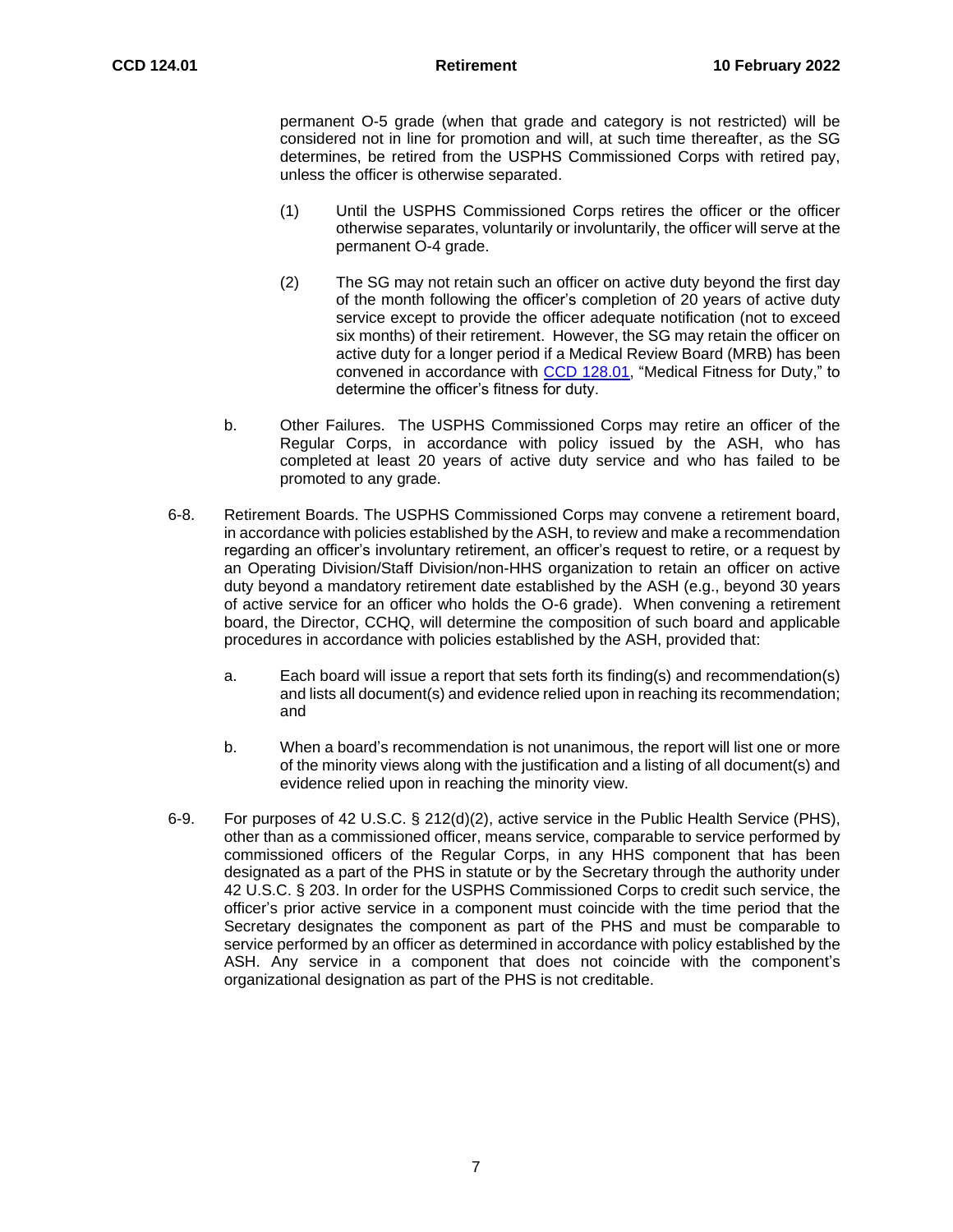permanent O-5 grade (when that grade and category is not restricted) will be considered not in line for promotion and will, at such time thereafter, as the SG determines, be retired from the USPHS Commissioned Corps with retired pay, unless the officer is otherwise separated.

- (1) Until the USPHS Commissioned Corps retires the officer or the officer otherwise separates, voluntarily or involuntarily, the officer will serve at the permanent O-4 grade.
- (2) The SG may not retain such an officer on active duty beyond the first day of the month following the officer's completion of 20 years of active duty service except to provide the officer adequate notification (not to exceed six months) of their retirement. However, the SG may retain the officer on active duty for a longer period if a Medical Review Board (MRB) has been convened in accordance with [CCD 128.01,](https://dcp.psc.gov/ccmis/ccis/documents/CCD_128.01.pdf) "Medical Fitness for Duty," to determine the officer's fitness for duty.
- b. Other Failures. The USPHS Commissioned Corps may retire an officer of the Regular Corps, in accordance with policy issued by the ASH, who has completed at least 20 years of active duty service and who has failed to be promoted to any grade.
- 6-8. Retirement Boards. The USPHS Commissioned Corps may convene a retirement board, in accordance with policies established by the ASH, to review and make a recommendation regarding an officer's involuntary retirement, an officer's request to retire, or a request by an Operating Division/Staff Division/non-HHS organization to retain an officer on active duty beyond a mandatory retirement date established by the ASH (e.g., beyond 30 years of active service for an officer who holds the O-6 grade). When convening a retirement board, the Director, CCHQ, will determine the composition of such board and applicable procedures in accordance with policies established by the ASH, provided that:
	- a. Each board will issue a report that sets forth its finding(s) and recommendation(s) and lists all document(s) and evidence relied upon in reaching its recommendation; and
	- b. When a board's recommendation is not unanimous, the report will list one or more of the minority views along with the justification and a listing of all document(s) and evidence relied upon in reaching the minority view.
- 6-9. For purposes of 42 U.S.C. § 212(d)(2), active service in the Public Health Service (PHS), other than as a commissioned officer, means service, comparable to service performed by commissioned officers of the Regular Corps, in any HHS component that has been designated as a part of the PHS in statute or by the Secretary through the authority under 42 U.S.C. § 203. In order for the USPHS Commissioned Corps to credit such service, the officer's prior active service in a component must coincide with the time period that the Secretary designates the component as part of the PHS and must be comparable to service performed by an officer as determined in accordance with policy established by the ASH. Any service in a component that does not coincide with the component's organizational designation as part of the PHS is not creditable.